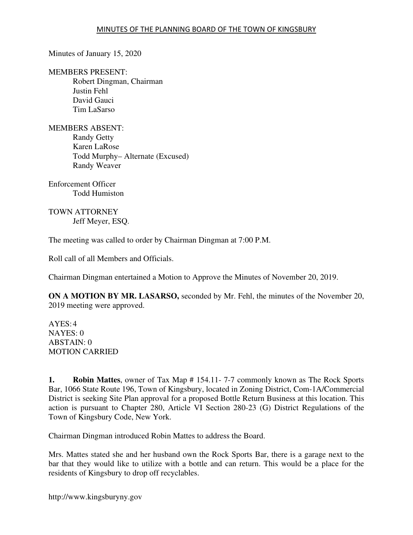Minutes of January 15, 2020

MEMBERS PRESENT: Robert Dingman, Chairman Justin Fehl David Gauci Tim LaSarso

MEMBERS ABSENT: Randy Getty Karen LaRose Todd Murphy– Alternate (Excused) Randy Weaver

Enforcement Officer Todd Humiston

TOWN ATTORNEY Jeff Meyer, ESQ.

The meeting was called to order by Chairman Dingman at 7:00 P.M.

Roll call of all Members and Officials.

Chairman Dingman entertained a Motion to Approve the Minutes of November 20, 2019.

**ON A MOTION BY MR. LASARSO,** seconded by Mr. Fehl, the minutes of the November 20, 2019 meeting were approved.

 $AYES:4$ NAYES: 0 ABSTAIN: 0 MOTION CARRIED

**1. Robin Mattes**, owner of Tax Map # 154.11- 7-7 commonly known as The Rock Sports Bar, 1066 State Route 196, Town of Kingsbury, located in Zoning District, Com-1A/Commercial District is seeking Site Plan approval for a proposed Bottle Return Business at this location. This action is pursuant to Chapter 280, Article VI Section 280-23 (G) District Regulations of the Town of Kingsbury Code, New York.

Chairman Dingman introduced Robin Mattes to address the Board.

Mrs. Mattes stated she and her husband own the Rock Sports Bar, there is a garage next to the bar that they would like to utilize with a bottle and can return. This would be a place for the residents of Kingsbury to drop off recyclables.

http://www.kingsburyny.gov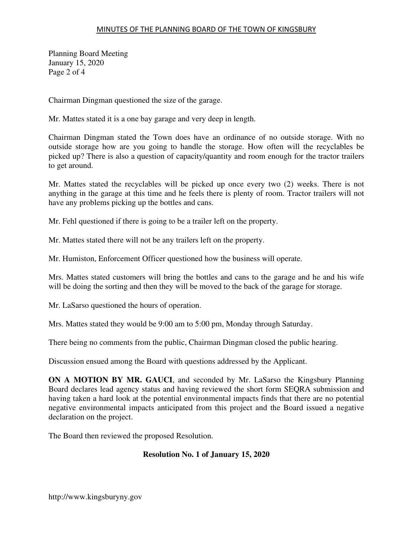## MINUTES OF THE PLANNING BOARD OF THE TOWN OF KINGSBURY

Planning Board Meeting January 15, 2020 Page 2 of 4

Chairman Dingman questioned the size of the garage.

Mr. Mattes stated it is a one bay garage and very deep in length.

Chairman Dingman stated the Town does have an ordinance of no outside storage. With no outside storage how are you going to handle the storage. How often will the recyclables be picked up? There is also a question of capacity/quantity and room enough for the tractor trailers to get around.

Mr. Mattes stated the recyclables will be picked up once every two (2) weeks. There is not anything in the garage at this time and he feels there is plenty of room. Tractor trailers will not have any problems picking up the bottles and cans.

Mr. Fehl questioned if there is going to be a trailer left on the property.

Mr. Mattes stated there will not be any trailers left on the property.

Mr. Humiston, Enforcement Officer questioned how the business will operate.

Mrs. Mattes stated customers will bring the bottles and cans to the garage and he and his wife will be doing the sorting and then they will be moved to the back of the garage for storage.

Mr. LaSarso questioned the hours of operation.

Mrs. Mattes stated they would be 9:00 am to 5:00 pm, Monday through Saturday.

There being no comments from the public, Chairman Dingman closed the public hearing.

Discussion ensued among the Board with questions addressed by the Applicant.

**ON A MOTION BY MR. GAUCI**, and seconded by Mr. LaSarso the Kingsbury Planning Board declares lead agency status and having reviewed the short form SEQRA submission and having taken a hard look at the potential environmental impacts finds that there are no potential negative environmental impacts anticipated from this project and the Board issued a negative declaration on the project.

The Board then reviewed the proposed Resolution.

## **Resolution No. 1 of January 15, 2020**

http://www.kingsburyny.gov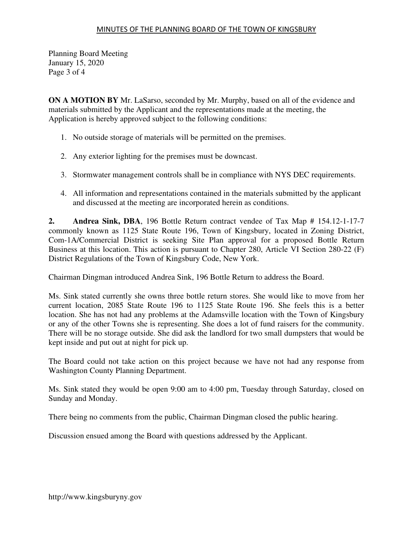Planning Board Meeting January 15, 2020 Page 3 of 4

**ON A MOTION BY** Mr. LaSarso, seconded by Mr. Murphy, based on all of the evidence and materials submitted by the Applicant and the representations made at the meeting, the Application is hereby approved subject to the following conditions:

- 1. No outside storage of materials will be permitted on the premises.
- 2. Any exterior lighting for the premises must be downcast.
- 3. Stormwater management controls shall be in compliance with NYS DEC requirements.
- 4. All information and representations contained in the materials submitted by the applicant and discussed at the meeting are incorporated herein as conditions.

**2. Andrea Sink, DBA**, 196 Bottle Return contract vendee of Tax Map # 154.12-1-17-7 commonly known as 1125 State Route 196, Town of Kingsbury, located in Zoning District, Com-1A/Commercial District is seeking Site Plan approval for a proposed Bottle Return Business at this location. This action is pursuant to Chapter 280, Article VI Section 280-22 (F) District Regulations of the Town of Kingsbury Code, New York.

Chairman Dingman introduced Andrea Sink, 196 Bottle Return to address the Board.

Ms. Sink stated currently she owns three bottle return stores. She would like to move from her current location, 2085 State Route 196 to 1125 State Route 196. She feels this is a better location. She has not had any problems at the Adamsville location with the Town of Kingsbury or any of the other Towns she is representing. She does a lot of fund raisers for the community. There will be no storage outside. She did ask the landlord for two small dumpsters that would be kept inside and put out at night for pick up.

The Board could not take action on this project because we have not had any response from Washington County Planning Department.

Ms. Sink stated they would be open 9:00 am to 4:00 pm, Tuesday through Saturday, closed on Sunday and Monday.

There being no comments from the public, Chairman Dingman closed the public hearing.

Discussion ensued among the Board with questions addressed by the Applicant.